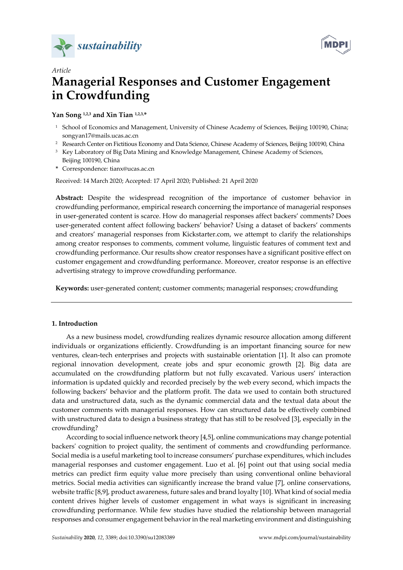



# *Article*  **Managerial Responses and Customer Engagement in Crowdfunding**

# **Yan Song 1,2,3 and Xin Tian 1,2,3,\***

- <sup>1</sup> School of Economics and Management, University of Chinese Academy of Sciences, Beijing 100190, China; songyan17@mails.ucas.ac.cn
- <sup>2</sup> Research Center on Fictitious Economy and Data Science, Chinese Academy of Sciences, Beijing 100190, China
- <sup>3</sup> Key Laboratory of Big Data Mining and Knowledge Management, Chinese Academy of Sciences, Beijing 100190, China
- **\*** Correspondence: tianx@ucas.ac.cn

Received: 14 March 2020; Accepted: 17 April 2020; Published: 21 April 2020

**Abstract:** Despite the widespread recognition of the importance of customer behavior in crowdfunding performance, empirical research concerning the importance of managerial responses in user-generated content is scarce. How do managerial responses affect backers' comments? Does user-generated content affect following backers' behavior? Using a dataset of backers' comments and creators' managerial responses from Kickstarter.com, we attempt to clarify the relationships among creator responses to comments, comment volume, linguistic features of comment text and crowdfunding performance. Our results show creator responses have a significant positive effect on customer engagement and crowdfunding performance. Moreover, creator response is an effective advertising strategy to improve crowdfunding performance.

**Keywords:** user-generated content; customer comments; managerial responses; crowdfunding

# **1. Introduction**

As a new business model, crowdfunding realizes dynamic resource allocation among different individuals or organizations efficiently. Crowdfunding is an important financing source for new ventures, clean-tech enterprises and projects with sustainable orientation [1]. It also can promote regional innovation development, create jobs and spur economic growth [2]. Big data are accumulated on the crowdfunding platform but not fully excavated. Various users' interaction information is updated quickly and recorded precisely by the web every second, which impacts the following backers' behavior and the platform profit. The data we used to contain both structured data and unstructured data, such as the dynamic commercial data and the textual data about the customer comments with managerial responses. How can structured data be effectively combined with unstructured data to design a business strategy that has still to be resolved [3], especially in the crowdfunding?

According to social influence network theory [4,5], online communications may change potential backers' cognition to project quality, the sentiment of comments and crowdfunding performance. Social media is a useful marketing tool to increase consumers' purchase expenditures, which includes managerial responses and customer engagement. Luo et al. [6] point out that using social media metrics can predict firm equity value more precisely than using conventional online behavioral metrics. Social media activities can significantly increase the brand value [7], online conservations, website traffic [8,9], product awareness, future sales and brand loyalty [10]. What kind of social media content drives higher levels of customer engagement in what ways is significant in increasing crowdfunding performance. While few studies have studied the relationship between managerial responses and consumer engagement behavior in the real marketing environment and distinguishing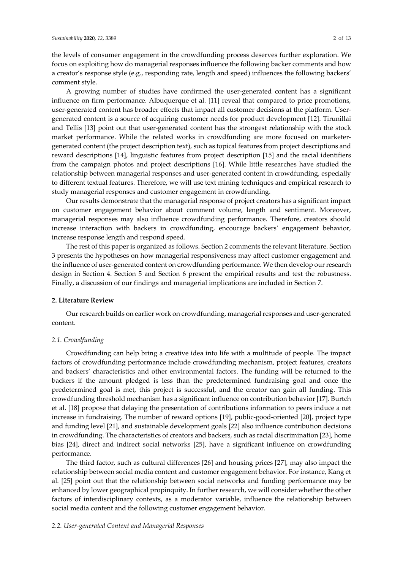the levels of consumer engagement in the crowdfunding process deserves further exploration. We focus on exploiting how do managerial responses influence the following backer comments and how a creator's response style (e.g., responding rate, length and speed) influences the following backers' comment style.

A growing number of studies have confirmed the user-generated content has a significant influence on firm performance. Albuquerque et al. [11] reveal that compared to price promotions, user-generated content has broader effects that impact all customer decisions at the platform. Usergenerated content is a source of acquiring customer needs for product development [12]. Tirunillai and Tellis [13] point out that user-generated content has the strongest relationship with the stock market performance. While the related works in crowdfunding are more focused on marketergenerated content (the project description text), such as topical features from project descriptions and reward descriptions [14], linguistic features from project description [15] and the racial identifiers from the campaign photos and project descriptions [16]. While little researches have studied the relationship between managerial responses and user-generated content in crowdfunding, especially to different textual features. Therefore, we will use text mining techniques and empirical research to study managerial responses and customer engagement in crowdfunding.

Our results demonstrate that the managerial response of project creators has a significant impact on customer engagement behavior about comment volume, length and sentiment. Moreover, managerial responses may also influence crowdfunding performance. Therefore, creators should increase interaction with backers in crowdfunding, encourage backers' engagement behavior, increase response length and respond speed.

The rest of this paper is organized as follows. Section 2 comments the relevant literature. Section 3 presents the hypotheses on how managerial responsiveness may affect customer engagement and the influence of user-generated content on crowdfunding performance. We then develop our research design in Section 4. Section 5 and Section 6 present the empirical results and test the robustness. Finally, a discussion of our findings and managerial implications are included in Section 7.

### **2. Literature Review**

Our research builds on earlier work on crowdfunding, managerial responses and user-generated content.

### *2.1. Crowdfunding*

Crowdfunding can help bring a creative idea into life with a multitude of people. The impact factors of crowdfunding performance include crowdfunding mechanism, project features, creators and backers' characteristics and other environmental factors. The funding will be returned to the backers if the amount pledged is less than the predetermined fundraising goal and once the predetermined goal is met, this project is successful, and the creator can gain all funding. This crowdfunding threshold mechanism has a significant influence on contribution behavior [17]. Burtch et al. [18] propose that delaying the presentation of contributions information to peers induce a net increase in fundraising. The number of reward options [19], public-good-oriented [20], project type and funding level [21], and sustainable development goals [22] also influence contribution decisions in crowdfunding. The characteristics of creators and backers, such as racial discrimination [23], home bias [24], direct and indirect social networks [25], have a significant influence on crowdfunding performance.

The third factor, such as cultural differences [26] and housing prices [27], may also impact the relationship between social media content and customer engagement behavior. For instance, Kang et al. [25] point out that the relationship between social networks and funding performance may be enhanced by lower geographical propinquity. In further research, we will consider whether the other factors of interdisciplinary contexts, as a moderator variable, influence the relationship between social media content and the following customer engagement behavior.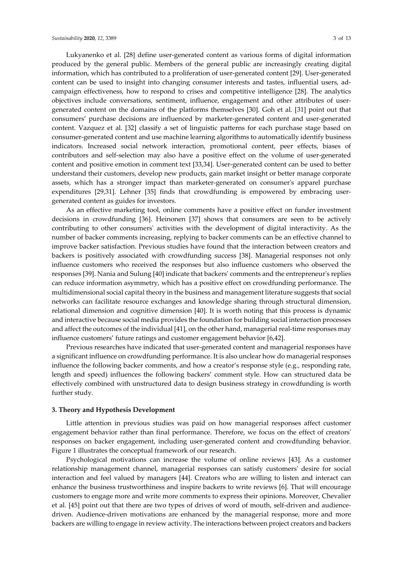Lukyanenko et al. [28] define user-generated content as various forms of digital information produced by the general public. Members of the general public are increasingly creating digital information, which has contributed to a proliferation of user-generated content [29]. User-generated content can be used to insight into changing consumer interests and tastes, influential users, adcampaign effectiveness, how to respond to crises and competitive intelligence [28]. The analytics objectives include conversations, sentiment, influence, engagement and other attributes of usergenerated content on the domains of the platforms themselves [30]. Goh et al. [31] point out that consumers' purchase decisions are influenced by marketer-generated content and user-generated content. Vazquez et al. [32] classify a set of linguistic patterns for each purchase stage based on consumer-generated content and use machine learning algorithms to automatically identify business indicators. Increased social network interaction, promotional content, peer effects, biases of contributors and self-selection may also have a positive effect on the volume of user-generated

content and positive emotion in comment text [33,34]. User-generated content can be used to better understand their customers, develop new products, gain market insight or better manage corporate assets, which has a stronger impact than marketer-generated on consumer's apparel purchase expenditures [29,31]. Lehner [35] finds that crowdfunding is empowered by embracing usergenerated content as guides for investors.

As an effective marketing tool, online comments have a positive effect on funder investment decisions in crowdfunding [36]. Heinonen [37] shows that consumers are seen to be actively contributing to other consumers' activities with the development of digital interactivity. As the number of backer comments increasing, replying to backer comments can be an effective channel to improve backer satisfaction. Previous studies have found that the interaction between creators and backers is positively associated with crowdfunding success [38]. Managerial responses not only influence customers who received the responses but also influence customers who observed the responses [39]. Nania and Sulung [40] indicate that backers' comments and the entrepreneur's replies can reduce information asymmetry, which has a positive effect on crowdfunding performance. The multidimensional social capital theory in the business and management literature suggests that social networks can facilitate resource exchanges and knowledge sharing through structural dimension, relational dimension and cognitive dimension [40]. It is worth noting that this process is dynamic and interactive because social media provides the foundation for building social interaction processes and affect the outcomes of the individual [41], on the other hand, managerial real-time responses may influence customers' future ratings and customer engagement behavior [6,42].

Previous researches have indicated that user-generated content and managerial responses have a significant influence on crowdfunding performance. It is also unclear how do managerial responses influence the following backer comments, and how a creator's response style (e.g., responding rate, length and speed) influences the following backers' comment style. How can structured data be effectively combined with unstructured data to design business strategy in crowdfunding is worth further study.

# **3. Theory and Hypothesis Development**

Little attention in previous studies was paid on how managerial responses affect customer engagement behavior rather than final performance. Therefore, we focus on the effect of creators' responses on backer engagement, including user-generated content and crowdfunding behavior. Figure 1 illustrates the conceptual framework of our research.

Psychological motivations can increase the volume of online reviews [43]. As a customer relationship management channel, managerial responses can satisfy customers' desire for social interaction and feel valued by managers [44]. Creators who are willing to listen and interact can enhance the business trustworthiness and inspire backers to write reviews [6]. That will encourage customers to engage more and write more comments to express their opinions. Moreover, Chevalier et al. [45] point out that there are two types of drives of word of mouth, self-driven and audiencedriven. Audience-driven motivations are enhanced by the managerial response, more and more backers are willing to engage in review activity. The interactions between project creators and backers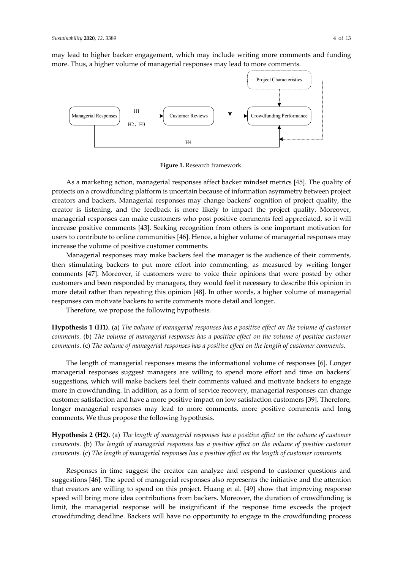may lead to higher backer engagement, which may include writing more comments and funding more. Thus, a higher volume of managerial responses may lead to more comments.



**Figure 1.** Research framework.

As a marketing action, managerial responses affect backer mindset metrics [45]. The quality of projects on a crowdfunding platform is uncertain because of information asymmetry between project creators and backers. Managerial responses may change backers' cognition of project quality, the creator is listening, and the feedback is more likely to impact the project quality. Moreover, managerial responses can make customers who post positive comments feel appreciated, so it will increase positive comments [43]. Seeking recognition from others is one important motivation for users to contribute to online communities [46]. Hence, a higher volume of managerial responses may increase the volume of positive customer comments.

Managerial responses may make backers feel the manager is the audience of their comments, then stimulating backers to put more effort into commenting, as measured by writing longer comments [47]. Moreover, if customers were to voice their opinions that were posted by other customers and been responded by managers, they would feel it necessary to describe this opinion in more detail rather than repeating this opinion [48]. In other words, a higher volume of managerial responses can motivate backers to write comments more detail and longer.

Therefore, we propose the following hypothesis.

**Hypothesis 1 (H1).** (a) *The volume of managerial responses has a positive effect on the volume of customer comments.* (b) *The volume of managerial responses has a positive effect on the volume of positive customer comments*. (c) *The volume of managerial responses has a positive effect on the length of customer comments.*

The length of managerial responses means the informational volume of responses [6]. Longer managerial responses suggest managers are willing to spend more effort and time on backers' suggestions, which will make backers feel their comments valued and motivate backers to engage more in crowdfunding. In addition, as a form of service recovery, managerial responses can change customer satisfaction and have a more positive impact on low satisfaction customers [39]. Therefore, longer managerial responses may lead to more comments, more positive comments and long comments. We thus propose the following hypothesis.

**Hypothesis 2 (H2).** (a) *The length of managerial responses has a positive effect on the volume of customer comments.* (b) *The length of managerial responses has a positive effect on the volume of positive customer comments.* (c) *The length of managerial responses has a positive effect on the length of customer comments.*

Responses in time suggest the creator can analyze and respond to customer questions and suggestions [46]. The speed of managerial responses also represents the initiative and the attention that creators are willing to spend on this project. Huang et al. [49] show that improving response speed will bring more idea contributions from backers. Moreover, the duration of crowdfunding is limit, the managerial response will be insignificant if the response time exceeds the project crowdfunding deadline. Backers will have no opportunity to engage in the crowdfunding process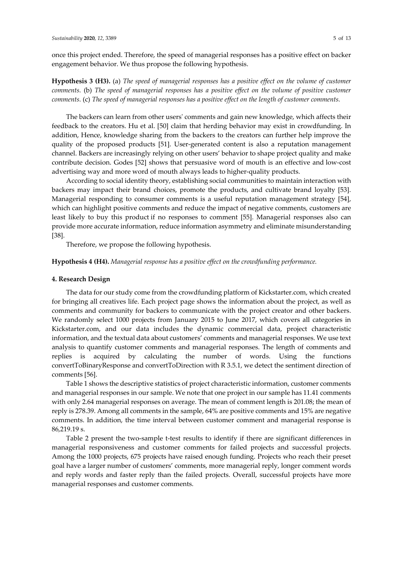once this project ended. Therefore, the speed of managerial responses has a positive effect on backer engagement behavior. We thus propose the following hypothesis.

**Hypothesis 3 (H3).** (a) *The speed of managerial responses has a positive effect on the volume of customer comments.* (b) *The speed of managerial responses has a positive effect on the volume of positive customer comments.* (c) *The speed of managerial responses has a positive effect on the length of customer comments.* 

The backers can learn from other users' comments and gain new knowledge, which affects their feedback to the creators. Hu et al. [50] claim that herding behavior may exist in crowdfunding. In addition, Hence, knowledge sharing from the backers to the creators can further help improve the quality of the proposed products [51]. User-generated content is also a reputation management channel. Backers are increasingly relying on other users' behavior to shape project quality and make contribute decision. Godes [52] shows that persuasive word of mouth is an effective and low-cost advertising way and more word of mouth always leads to higher-quality products.

According to social identity theory, establishing social communities to maintain interaction with backers may impact their brand choices, promote the products, and cultivate brand loyalty [53]. Managerial responding to consumer comments is a useful reputation management strategy [54], which can highlight positive comments and reduce the impact of negative comments, customers are least likely to buy this product if no responses to comment [55]. Managerial responses also can provide more accurate information, reduce information asymmetry and eliminate misunderstanding [38].

Therefore, we propose the following hypothesis.

# **Hypothesis 4 (H4).** *Managerial response has a positive effect on the crowdfunding performance.*

# **4. Research Design**

The data for our study come from the crowdfunding platform of Kickstarter.com, which created for bringing all creatives life. Each project page shows the information about the project, as well as comments and community for backers to communicate with the project creator and other backers. We randomly select 1000 projects from January 2015 to June 2017, which covers all categories in Kickstarter.com, and our data includes the dynamic commercial data, project characteristic information, and the textual data about customers' comments and managerial responses. We use text analysis to quantify customer comments and managerial responses. The length of comments and replies is acquired by calculating the number of words. Using the functions convertToBinaryResponse and convertToDirection with R 3.5.1, we detect the sentiment direction of comments [56].

Table 1 shows the descriptive statistics of project characteristic information, customer comments and managerial responses in our sample. We note that one project in our sample has 11.41 comments with only 2.64 managerial responses on average. The mean of comment length is 201.08; the mean of reply is 278.39. Among all comments in the sample, 64% are positive comments and 15% are negative comments. In addition, the time interval between customer comment and managerial response is 86,219.19 s.

Table 2 present the two-sample t-test results to identify if there are significant differences in managerial responsiveness and customer comments for failed projects and successful projects. Among the 1000 projects, 675 projects have raised enough funding. Projects who reach their preset goal have a larger number of customers' comments, more managerial reply, longer comment words and reply words and faster reply than the failed projects. Overall, successful projects have more managerial responses and customer comments.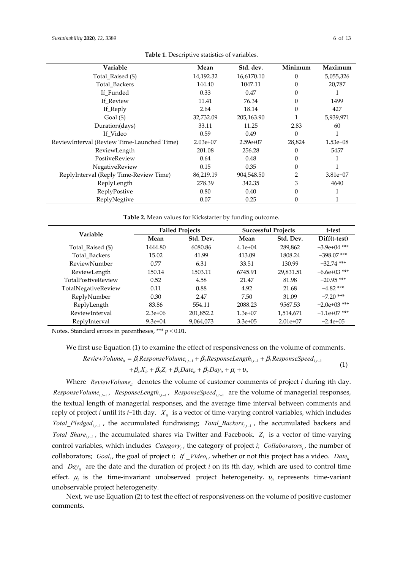| Variable                                   | Mean       | Std. dev.  | Minimum  | Maximum    |
|--------------------------------------------|------------|------------|----------|------------|
| Total_Raised (\$)                          | 14,192.32  | 16,6170.10 | $\theta$ | 5,055,326  |
| Total_Backers                              | 144.40     | 1047.11    | $\Omega$ | 20,787     |
| If_Funded                                  | 0.33       | 0.47       | 0        |            |
| If_Review                                  | 11.41      | 76.34      | $\Omega$ | 1499       |
| If_Reply                                   | 2.64       | 18.14      | $\theta$ | 427        |
| Goal $(\$)$                                | 32,732.09  | 205,163.90 |          | 5,939,971  |
| Duration(days)                             | 33.11      | 11.25      | 2.83     | 60         |
| If_Video                                   | 0.59       | 0.49       | $\theta$ |            |
| ReviewInterval (Review Time-Launched Time) | $2.03e+07$ | $2.59e+07$ | 28,824   | $1.53e+08$ |
| ReviewLength                               | 201.08     | 256.28     | 0        | 5457       |
| PostiveReview                              | 0.64       | 0.48       | $\Omega$ |            |
| NegativeReview                             | 0.15       | 0.35       | $\theta$ |            |
| ReplyInterval (Reply Time-Review Time)     | 86,219.19  | 904,548.50 | 2        | $3.81e+07$ |
| ReplyLength                                | 278.39     | 342.35     | 3        | 4640       |
| ReplyPostive                               | 0.80       | 0.40       | 0        |            |
| ReplyNegtive                               | 0.07       | 0.25       | 0        |            |

**Table 1.** Descriptive statistics of variables.

**Table 2.** Mean values for Kickstarter by funding outcome.

| <b>Variable</b>     | <b>Failed Projects</b> |           | <b>Successful Projects</b> |            | t-test         |
|---------------------|------------------------|-----------|----------------------------|------------|----------------|
|                     | Mean                   | Std. Dev. | Mean                       | Std. Dev.  | Diff(t-test)   |
| Total_Raised (\$)   | 1444.80                | 6080.86   | $4.1e+04$                  | 289,862    | $-3.9e+04$ *** |
| Total_Backers       | 15.02                  | 41.99     | 413.09                     | 1808.24    | $-398.07$ ***  |
| ReviewNumber        | 0.77                   | 6.31      | 33.51                      | 130.99     | $-32.74$ ***   |
| ReviewLength        | 150.14                 | 1503.11   | 6745.91                    | 29,831.51  | $-6.6e+03$ *** |
| TotalPostiveReview  | 0.52                   | 4.58      | 21.47                      | 81.98      | $-20.95$ ***   |
| TotalNegativeReview | 0.11                   | 0.88      | 4.92                       | 21.68      | $-4.82$ ***    |
| ReplyNumber         | 0.30                   | 2.47      | 7.50                       | 31.09      | $-7.20$ ***    |
| ReplyLength         | 83.86                  | 554.11    | 2088.23                    | 9567.53    | $-2.0e+03$ *** |
| ReviewInterval      | $2.3e+06$              | 201,852.2 | $1.3e+07$                  | 1,514,671  | $-1.1e+07$ *** |
| ReplyInterval       | $9.3e+04$              | 9,064,073 | $3.3e+0.5$                 | $2.01e+07$ | $-2.4e+0.5$    |

Notes. Standard errors in parentheses, \*\*\* *p* < 0.01.

We first use Equation (1) to examine the effect of responsiveness on the volume of comments.

$$
ReviewVolume_{it} = \beta_1 ResponseVolume_{i,t-1} + \beta_2ResponseLength_{i,t-1} + \beta_3ResponseSpeed_{i,t-1} + \beta_4 X_{it} + \beta_5 Z_i + \beta_6 Date_{it} + \beta_7 Day_{it} + \mu_i + \nu_{it}
$$
(1)

Where *ReviewVolume<sub>it</sub>* denotes the volume of customer comments of project *i* during *t*th day. *ResponseVolume<sub>i,t-1</sub>*, *ResponseLength<sub>i,t-1</sub>*, *ResponseSpeed<sub>i,t-1</sub>* are the volume of managerial responses, the textual length of managerial responses, and the average time interval between comments and reply of project *i* until its *t*−1th day. *X<sub>it</sub>* is a vector of time-varying control variables, which includes *Total\_Pledged<sub>i,t-1</sub>*, the accumulated fundraising; *Total\_Backers<sub>i,t-1</sub>*, the accumulated backers and *Total Share<sub>i t</sub>*, the accumulated shares via Twitter and Facebook. *Z<sub>i</sub>* is a vector of time-varying control variables, which includes *Category<sub>i</sub>*, the category of project *i*; *Collaborators*<sub>i</sub>, the number of collaborators; *Goal<sub>i</sub>*, the goal of project *i*; *If* \_*Video<sub>i</sub>*, whether or not this project has a video. *Date*<sub>it</sub> and *Day<sub>u</sub>* are the date and the duration of project *i* on its *t*th day, which are used to control time effect.  $\mu_i$  is the time-invariant unobserved project heterogeneity.  $v_i$  represents time-variant unobservable project heterogeneity.

Next, we use Equation (2) to test the effect of responsiveness on the volume of positive customer comments.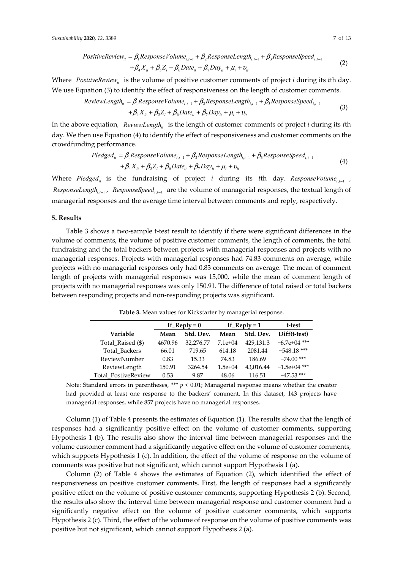PositiveReview<sub>it</sub> = 
$$
\beta_1
$$
ResponseVolume<sub>i,t-1</sub> +  $\beta_2$ ResponseLength<sub>i,t-1</sub> +  $\beta_3$ ResponseSpeed<sub>i,t-1</sub>  
+ $\beta_4 X_{it} + \beta_5 Z_i + \beta_6$ Date<sub>it</sub> +  $\beta_7$ Day<sub>it</sub> +  $\mu_i$  +  $\nu_i$  (2)

Where *PositiveReview<sub>it</sub>* is the volume of positive customer comments of project *i* during its *t*th day. We use Equation (3) to identify the effect of responsiveness on the length of customer comments.

$$
ReviewLength_{ii} = \beta_1 ResponseVolume_{i,i-1} + \beta_2ResponseLength_{i,i-1} + \beta_3ResponseSpeed_{i,i-1} + \beta_4 X_{ii} + \beta_5 Z_i + \beta_6 Date_{ii} + \beta_7 Day_{ii} + \mu_i + \nu_i
$$
\n(3)

In the above equation, *ReviewLength<sub>ii</sub>* is the length of customer comments of project *i* during its *t*th day. We then use Equation (4) to identify the effect of responsiveness and customer comments on the crowdfunding performance.

$$
Pledged_{ii} = \beta_1 ResponseVolume_{i,t-1} + \beta_2ResponseLength_{i,t-1} + \beta_3ResponseSpeed_{i,t-1} + \beta_4 X_{ii} + \beta_5 Z_i + \beta_6 Date_{ii} + \beta_7 Day_{ii} + \mu_i + \nu_i
$$
\n(4)

Where *Pledged<sub>it</sub>* is the fundraising of project *i* during its *t*th day. *ResponseVolume<sub>i.t-1</sub></sup>, ResponseLength<sub>it-1</sub>, ResponseSpeed<sub>it-1</sub>* are the volume of managerial responses, the textual length of managerial responses and the average time interval between comments and reply, respectively.

# **5. Results**

Table 3 shows a two-sample t-test result to identify if there were significant differences in the volume of comments, the volume of positive customer comments, the length of comments, the total fundraising and the total backers between projects with managerial responses and projects with no managerial responses. Projects with managerial responses had 74.83 comments on average, while projects with no managerial responses only had 0.83 comments on average. The mean of comment length of projects with managerial responses was 15,000, while the mean of comment length of projects with no managerial responses was only 150.91. The difference of total raised or total backers between responding projects and non-responding projects was significant.

|                     | If $\mathbb{R}$ eply = 0 |           | If $\text{Reply} = 1$ |           | t-test         |
|---------------------|--------------------------|-----------|-----------------------|-----------|----------------|
| Variable            | Mean                     | Std. Dev. | Mean                  | Std. Dev. | Diff(t-test)   |
| Total_Raised (\$)   | 4670.96                  | 32,276.77 | $7.1e+04$             | 429,131.3 | $-6.7e+04$ *** |
| Total Backers       | 66.01                    | 719.65    | 614.18                | 2081.44   | $-548.18$ ***  |
| ReviewNumber        | 0.83                     | 15.33     | 74.83                 | 186.69    | $-74.00$ ***   |
| ReviewLength        | 150.91                   | 3264.54   | $1.5e+04$             | 43,016.44 | $-1.5e+04$ *** |
| Total PostiveReview | 0.53                     | 9.87      | 48.06                 | 116.51    | $-47.53$ ***   |

**Table 3.** Mean values for Kickstarter by managerial response.

Note: Standard errors in parentheses, \*\*\* *p* < 0.01; Managerial response means whether the creator had provided at least one response to the backers' comment. In this dataset, 143 projects have managerial responses, while 857 projects have no managerial responses.

Column (1) of Table 4 presents the estimates of Equation (1). The results show that the length of responses had a significantly positive effect on the volume of customer comments, supporting Hypothesis 1 (b). The results also show the interval time between managerial responses and the volume customer comment had a significantly negative effect on the volume of customer comments, which supports Hypothesis 1 (c). In addition, the effect of the volume of response on the volume of comments was positive but not significant, which cannot support Hypothesis 1 (a).

Column (2) of Table 4 shows the estimates of Equation (2), which identified the effect of responsiveness on positive customer comments. First, the length of responses had a significantly positive effect on the volume of positive customer comments, supporting Hypothesis 2 (b). Second, the results also show the interval time between managerial response and customer comment had a significantly negative effect on the volume of positive customer comments, which supports Hypothesis 2 (c). Third, the effect of the volume of response on the volume of positive comments was positive but not significant, which cannot support Hypothesis 2 (a).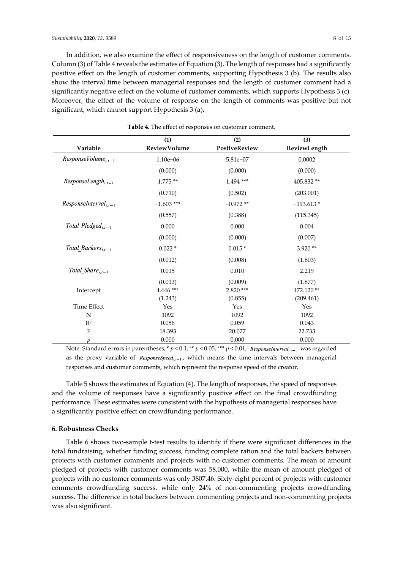In addition, we also examine the effect of responsiveness on the length of customer comments. Column (3) of Table 4 reveals the estimates of Equation (3). The length of responses had a significantly positive effect on the length of customer comments, supporting Hypothesis 3 (b). The results also show the interval time between managerial responses and the length of customer comment had a significantly negative effect on the volume of customer comments, which supports Hypothesis 3 (c). Moreover, the effect of the volume of response on the length of comments was positive but not significant, which cannot support Hypothesis 3 (a).

|                                   | (1)                 | (2)           | (3)          |
|-----------------------------------|---------------------|---------------|--------------|
| Variable                          | <b>ReviewVolume</b> | PostiveReview | ReviewLength |
| $ResponseVolume_{i,t-1}$          | $1.10e - 06$        | 5.81e-07      | 0.0002       |
|                                   | (0.000)             | (0.000)       | (0.000)      |
| $Responsiblengh$ <sub>i.t-1</sub> | $1.775**$           | 1.494 ***     | 405.832**    |
|                                   | (0.710)             | (0.502)       | (203.001)    |
| $ResponsibleInterval_{i,t-1}$     | $-1.603$ ***        | $-0.972**$    | $-193.613*$  |
|                                   | (0.557)             | (0.388)       | (115.345)    |
| Total Pledged <sub>it-1</sub>     | 0.000               | 0.000         | 0.004        |
|                                   | (0.000)             | (0.000)       | (0.007)      |
| Total Backers <sub>i.t-1</sub>    | $0.022*$            | $0.015*$      | $3.920**$    |
|                                   | (0.012)             | (0.008)       | (1.803)      |
| Total Share $_{i,t-1}$            | 0.015               | 0.010         | 2.219        |
|                                   | (0.013)             | (0.009)       | (1.877)      |
| Intercept                         | $4.446$ ***         | 2.820 ***     | 472.120**    |
|                                   | (1.243)             | (0.855)       | (209.461)    |
| Time Effect                       | Yes                 | Yes           | Yes          |
| N                                 | 1092                | 1092          | 1092         |
| $R^2$                             | 0.056               | 0.059         | 0.043        |
| $\rm F$                           | 18.393              | 20.077        | 22.733       |
| p                                 | 0.000               | 0.000         | 0.000        |

**Table 4.** The effect of responses on customer comment.

Note: Standard errors in parentheses, \*  $p$  < 0.1, \*\*  $p$  < 0.05, \*\*\*  $p$  < 0.01; ResponseInterval<sub>ide</sub> was regarded as the proxy variable of  $ResposeSpeed_{i,i-1}$ , which means the time intervals between managerial responses and customer comments, which represent the response speed of the creator.

Table 5 shows the estimates of Equation (4). The length of responses, the speed of responses and the volume of responses have a significantly positive effect on the final crowdfunding performance. These estimates were consistent with the hypothesis of managerial responses have a significantly positive effect on crowdfunding performance.

### **6. Robustness Checks**

Table 6 shows two-sample t-test results to identify if there were significant differences in the total fundraising, whether funding success, funding complete ration and the total backers between projects with customer comments and projects with no customer comments. The mean of amount pledged of projects with customer comments was 58,000, while the mean of amount pledged of projects with no customer comments was only 3807.46. Sixty-eight percent of projects with customer comments crowdfunding success, while only 24% of non-commenting projects crowdfunding success. The difference in total backers between commenting projects and non-commenting projects was also significant.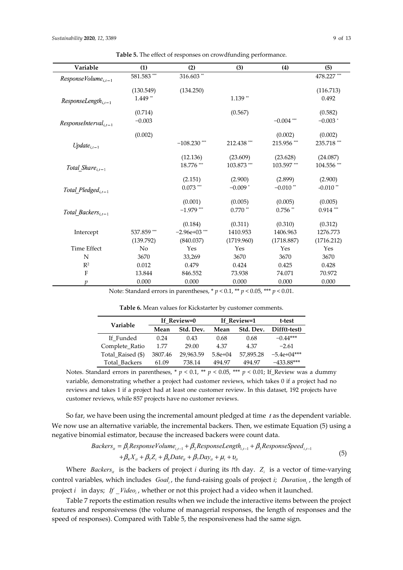| Variable                       | (1)           | (2)             | (3)        | (4)          | (5)         |
|--------------------------------|---------------|-----------------|------------|--------------|-------------|
| $ResponseVolume_{i,t-1}$       | $581.583$ *** | 316.603**       |            |              | 478.227***  |
|                                | (130.549)     | (134.250)       |            |              | (116.713)   |
| $Responsiblength_{i,t-1}$      | $1.449**$     |                 | $1.139**$  |              | 0.492       |
|                                | (0.714)       |                 | (0.567)    |              | (0.582)     |
| $ResponsibleInterval_{i,t-1}$  | $-0.003$      |                 |            | $-0.004$ *** | $-0.003*$   |
|                                | (0.002)       |                 |            | (0.002)      | (0.002)     |
| $Update_{i,t-1}$               |               | $-108.230$ ***  | 212.438*** | 215.956***   | 235.718***  |
|                                |               | (12.136)        | (23.609)   | (23.628)     | (24.087)    |
| Total_Share $_{i,t-1}$         |               | 18.776***       | 103.873*** | 103.597***   | 104.556 *** |
|                                |               | (2.151)         | (2.900)    | (2.899)      | (2.900)     |
| Total Pledged <sub>it-1</sub>  |               | $0.073$ ***     | $-0.009*$  | $-0.010$ **  | $-0.010$ ** |
|                                |               | (0.001)         | (0.005)    | (0.005)      | (0.005)     |
| Total Backers <sub>i.t-1</sub> |               | $-1.979$ ***    | $0.770$ ** | $0.756$ **   | $0.914***$  |
|                                |               | (0.184)         | (0.311)    | (0.310)      | (0.312)     |
| Intercept                      | 537.859 ***   | $-2.96e+03$ *** | 1410.953   | 1406.963     | 1276.773    |
|                                | (139.792)     | (840.037)       | (1719.960) | (1718.887)   | (1716.212)  |
| <b>Time Effect</b>             | No            | Yes             | Yes        | Yes          | Yes         |
| N                              | 3670          | 33,269          | 3670       | 3670         | 3670        |
| $R^2$                          | 0.012         | 0.479           | 0.424      | 0.425        | 0.428       |
| $\rm F$                        | 13.844        | 846.552         | 73.938     | 74.071       | 70.972      |
| $\boldsymbol{p}$               | 0.000         | 0.000           | 0.000      | 0.000        | 0.000       |

**Table 5.** The effect of responses on crowdfunding performance.

Note: Standard errors in parentheses, \* *p* < 0.1, \*\* *p* < 0.05, \*\*\* *p* < 0.01.

**Table 6.** Mean values for Kickstarter by customer comments.

| Variable          | If Review=0 |           | If Review=1 | t-test    |               |
|-------------------|-------------|-----------|-------------|-----------|---------------|
|                   | Mean        | Std. Dev. | Mean        | Std. Dev. | Diff(t-test)  |
| If Funded         | 0.24        | 0.43      | 0.68        | 0.68      | $-0.44***$    |
| Complete_Ratio    | 1.77        | 29.00     | 4.37        | 4.37      | $-2.61$       |
| Total Raised (\$) | 3807.46     | 29,963.59 | $5.8e+04$   | 57,895.28 | $-5.4e+04***$ |
| Total Backers     | 61.09       | 738.14    | 494.97      | 494.97    | $-433.88***$  |

Notes. Standard errors in parentheses,  $* p < 0.1$ ,  $** p < 0.05$ ,  $*** p < 0.01$ ; If Review was a dummy variable, demonstrating whether a project had customer reviews, which takes 0 if a project had no reviews and takes 1 if a project had at least one customer review. In this dataset, 192 projects have customer reviews, while 857 projects have no customer reviews.

So far, we have been using the incremental amount pledged at time  $t$  as the dependent variable. We now use an alternative variable, the incremental backers. Then, we estimate Equation (5) using a negative binomial estimator, because the increased backers were count data.

$$
Backers_{ii} = \beta_1 ResponseVolume_{i,t-1} + \beta_2ResponseLength_{i,t-1} + \beta_3ResponseSpeed_{i,t-1} + \beta_4 X_{ii} + \beta_5 Z_i + \beta_6 Date_{ii} + \beta_7 Day_{ii} + \mu_i + \nu_i
$$
\n(5)

Where *Backers<sub>it</sub>* is the backers of project *i* during its *t*th day.  $Z_i$  is a vector of time-varying control variables, which includes *Goal<sub>i</sub>*, the fund-raising goals of project *i*; *Duration<sub>i</sub>*, the length of project *i* in days; If *Video* , whether or not this project had a video when it launched.

Table 7 reports the estimation results when we include the interactive items between the project features and responsiveness (the volume of managerial responses, the length of responses and the speed of responses). Compared with Table 5, the responsiveness had the same sign.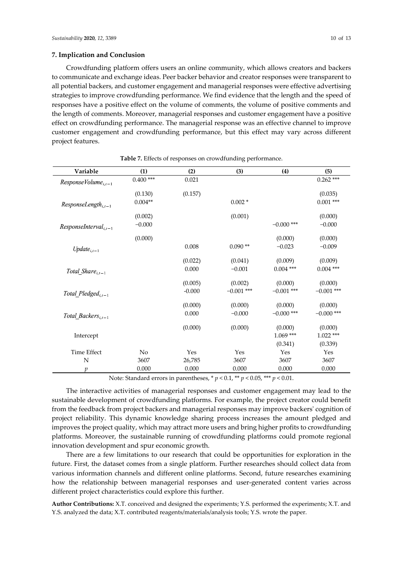Crowdfunding platform offers users an online community, which allows creators and backers to communicate and exchange ideas. Peer backer behavior and creator responses were transparent to all potential backers, and customer engagement and managerial responses were effective advertising strategies to improve crowdfunding performance. We find evidence that the length and the speed of responses have a positive effect on the volume of comments, the volume of positive comments and the length of comments. Moreover, managerial responses and customer engagement have a positive effect on crowdfunding performance. The managerial response was an effective channel to improve customer engagement and crowdfunding performance, but this effect may vary across different project features.

| Variable                       | (1)         | (2)      | (3)          | (4)          | (5)          |
|--------------------------------|-------------|----------|--------------|--------------|--------------|
| $ResponseVolume_{i,t-1}$       | $0.400$ *** | 0.021    |              |              | $0.262$ ***  |
|                                | (0.130)     | (0.157)  |              |              | (0.035)      |
| $Responsibleingth_{i,t-1}$     | $0.004**$   |          | $0.002*$     |              | $0.001$ ***  |
|                                | (0.002)     |          | (0.001)      |              | (0.000)      |
| $Responselnterval_{i,t-1}$     | $-0.000$    |          |              | $-0.000$ *** | $-0.000$     |
|                                | (0.000)     |          |              | (0.000)      | (0.000)      |
| $Update_{i,t-1}$               |             | 0.008    | $0.090**$    | $-0.023$     | $-0.009$     |
|                                |             | (0.022)  | (0.041)      | (0.009)      | (0.009)      |
| Total Share $_{i,t-1}$         |             | 0.000    | $-0.001$     | $0.004$ ***  | $0.004$ ***  |
|                                |             | (0.005)  | (0.002)      | (0.000)      | (0.000)      |
| Total_Pledged <sub>i,t-1</sub> |             | $-0.000$ | $-0.001$ *** | $-0.001$ *** | $-0.001$ *** |
|                                |             | (0.000)  | (0.000)      | (0.000)      | (0.000)      |
| Total_Backers $_{i,t-1}$       |             | 0.000    | $-0.000$     | $-0.000$ *** | $-0.000$ *** |
|                                |             | (0.000)  | (0.000)      | (0.000)      | (0.000)      |
| Intercept                      |             |          |              | $1.069***$   | $1.022$ ***  |
|                                |             |          |              | (0.341)      | (0.339)      |
| <b>Time Effect</b>             | No          | Yes      | Yes          | Yes          | Yes          |
| N                              | 3607        | 26,785   | 3607         | 3607         | 3607         |
| $\mathcal{D}$                  | 0.000       | 0.000    | 0.000        | 0.000        | 0.000        |

**Table 7.** Effects of responses on crowdfunding performance.

Note: Standard errors in parentheses, \* *p* < 0.1, \*\* *p* < 0.05, \*\*\* *p* < 0.01.

The interactive activities of managerial responses and customer engagement may lead to the sustainable development of crowdfunding platforms. For example, the project creator could benefit from the feedback from project backers and managerial responses may improve backers' cognition of project reliability. This dynamic knowledge sharing process increases the amount pledged and improves the project quality, which may attract more users and bring higher profits to crowdfunding platforms. Moreover, the sustainable running of crowdfunding platforms could promote regional innovation development and spur economic growth.

There are a few limitations to our research that could be opportunities for exploration in the future. First, the dataset comes from a single platform. Further researches should collect data from various information channels and different online platforms. Second, future researches examining how the relationship between managerial responses and user-generated content varies across different project characteristics could explore this further.

**Author Contributions:** X.T. conceived and designed the experiments; Y.S. performed the experiments; X.T. and Y.S. analyzed the data; X.T. contributed reagents/materials/analysis tools; Y.S. wrote the paper.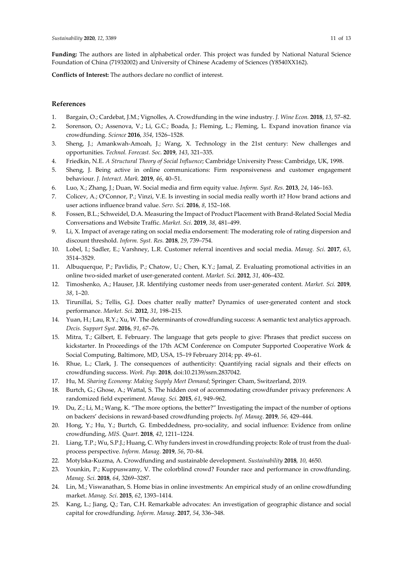**Funding:** The authors are listed in alphabetical order. This project was funded by National Natural Science Foundation of China (71932002) and University of Chinese Academy of Sciences (Y8540XX162).

**Conflicts of Interest:** The authors declare no conflict of interest.

# **References**

- 1. Bargain, O.; Cardebat, J.M.; Vignolles, A. Crowdfunding in the wine industry. *J. Wine Econ.* **2018**, *13*, 57–82.
- 2. Sorenson, O.; Assenova, V.; Li, G.C.; Boada, J.; Fleming, L.; Fleming, L. Expand inovation finance via crowdfunding. *Science* **2016**, *354*, 1526–1528.
- 3. Sheng, J.; Amankwah-Amoah, J.; Wang, X. Technology in the 21st century: New challenges and opportunities. *Technol. Forecast. Soc*. **2019**, *143*, 321–335.
- 4. Friedkin, N.E. *A Structural Theory of Social Influence*; Cambridge University Press: Cambridge, UK, 1998.
- 5. Sheng, J. Being active in online communications: Firm responsiveness and customer engagement behaviour. *J. Interact. Mark.* **2019**, *46*, 40–51.
- 6. Luo, X.; Zhang, J.; Duan, W. Social media and firm equity value. *Inform. Syst. Res.* **2013**, *24*, 146–163.
- 7. Colicev, A.; O'Connor, P.; Vinzi, V.E. Is investing in social media really worth it? How brand actions and user actions influence brand value. *Serv. Sci.* **2016**, *8*, 152–168.
- 8. Fossen, B.L.; Schweidel, D.A. Measuring the Impact of Product Placement with Brand-Related Social Media Conversations and Website Traffic. *Market. Sci*. **2019**, *38*, 481–499.
- 9. Li, X. Impact of average rating on social media endorsement: The moderating role of rating dispersion and discount threshold. *Inform. Syst. Res.* **2018**, *29*, 739–754.
- 10. Lobel, I.; Sadler, E.; Varshney, L.R. Customer referral incentives and social media. *Manag. Sci*. **2017**, *63*, 3514–3529.
- 11. Albuquerque, P.; Pavlidis, P.; Chatow, U.; Chen, K.Y.; Jamal, Z. Evaluating promotional activities in an online two-sided market of user-generated content. *Market. Sci*. **2012**, *31*, 406–432.
- 12. Timoshenko, A.; Hauser, J.R. Identifying customer needs from user-generated content. *Market. Sci.* **2019**, *38*, 1–20.
- 13. Tirunillai, S.; Tellis, G.J. Does chatter really matter? Dynamics of user-generated content and stock performance. *Market. Sci*. **2012**, *31*, 198–215.
- 14. Yuan, H.; Lau, R.Y.; Xu, W. The determinants of crowdfunding success: A semantic text analytics approach. *Decis. Support Syst*. **2016**, *91*, 67–76.
- 15. Mitra, T.; Gilbert, E. February. The language that gets people to give: Phrases that predict success on kickstarter. In Proceedings of the 17th ACM Conference on Computer Supported Cooperative Work & Social Computing, Baltimore, MD, USA, 15–19 February 2014; pp. 49–61.
- 16. Rhue, L.; Clark, J. The consequences of authenticity: Quantifying racial signals and their effects on crowdfunding success. *Work. Pap.* **2018**, doi:10.2139/ssrn.2837042.
- 17. Hu, M. *Sharing Economy: Making Supply Meet Demand*; Springer: Cham, Switzerland, 2019.
- 18. Burtch, G.; Ghose, A.; Wattal, S. The hidden cost of accommodating crowdfunder privacy preferences: A randomized field experiment. *Manag. Sci.* **2015**, *61*, 949–962.
- 19. Du, Z.; Li, M.; Wang, K. "The more options, the better?" Investigating the impact of the number of options on backers' decisions in reward-based crowdfunding projects. *Inf. Manag*. **2019**, *56*, 429–444.
- 20. Hong, Y.; Hu, Y.; Burtch, G. Embeddedness, pro-sociality, and social influence: Evidence from online crowdfunding, *MIS. Quart*. **2018**, *42*, 1211–1224.
- 21. Liang, T.P.; Wu, S.P.J.; Huang, C. Why funders invest in crowdfunding projects: Role of trust from the dualprocess perspective. *Inform. Manag.* **2019**, *56*, 70–84.
- 22. Motylska-Kuzma, A. Crowdfunding and sustainable development. *Sustainability* **2018**, *10*, 4650.
- 23. Younkin, P.; Kuppuswamy, V. The colorblind crowd? Founder race and performance in crowdfunding. *Manag. Sci*. **2018**, *64*, 3269–3287.
- 24. Lin, M.; Viswanathan, S. Home bias in online investments: An empirical study of an online crowdfunding market. *Manag. Sci*. **2015**, *62*, 1393–1414.
- 25. Kang, L.; Jiang, Q.; Tan, C.H. Remarkable advocates: An investigation of geographic distance and social capital for crowdfunding. *Inform. Manag*. **2017**, *54*, 336–348.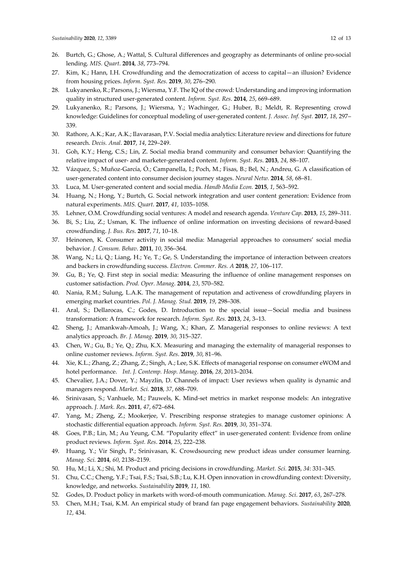- 26. Burtch, G.; Ghose, A.; Wattal, S. Cultural differences and geography as determinants of online pro-social lending. *MIS. Quart*. **2014**, *38*, 773–794.
- 27. Kim, K.; Hann, I.H. Crowdfunding and the democratization of access to capital—an illusion? Evidence from housing prices. *Inform. Syst. Res*. **2019**, *30*, 276–290.
- 28. Lukyanenko, R.; Parsons, J.; Wiersma, Y.F. The IQ of the crowd: Understanding and improving information quality in structured user-generated content. *Inform. Syst. Res*. **2014**, *25*, 669–689.
- 29. Lukyanenko, R.; Parsons, J.; Wiersma, Y.; Wachinger, G.; Huber, B.; Meldt, R. Representing crowd knowledge: Guidelines for conceptual modeling of user-generated content. *J. Assoc. Inf. Syst.* **2017**, *18*, 297– 339.
- 30. Rathore, A.K.; Kar, A.K.; Ilavarasan, P.V. Social media analytics: Literature review and directions for future research. *Decis. Anal*. **2017**, *14*, 229–249.
- 31. Goh, K.Y.; Heng, C.S.; Lin, Z. Social media brand community and consumer behavior: Quantifying the relative impact of user- and marketer-generated content. *Inform. Syst. Res*. **2013**, *24*, 88–107.
- 32. Vázquez, S.; Muñoz-García, Ó.; Campanella, I.; Poch, M.; Fisas, B.; Bel, N.; Andreu, G. A classification of user-generated content into consumer decision journey stages. *Neural Netw.* **2014**, *58*, 68–81.
- 33. Luca, M. User-generated content and social media. *Handb Media Econ.* **2015**, *1*, 563–592.
- 34. Huang, N.; Hong, Y.; Burtch, G. Social network integration and user content generation: Evidence from natural experiments. *MIS. Quart*. **2017**, *41*, 1035–1058.
- 35. Lehner, O.M. Crowdfunding social ventures: A model and research agenda. *Venture Cap*. **2013**, *15*, 289–311.
- 36. Bi, S.; Liu, Z.; Usman, K. The influence of online information on investing decisions of reward-based crowdfunding. *J. Bus. Res*. **2017**, *71*, 10–18.
- 37. Heinonen, K. Consumer activity in social media: Managerial approaches to consumers' social media behavior. *J. Consum. Behav*. **2011**, *10*, 356–364.
- 38. Wang, N.; Li, Q.; Liang, H.; Ye, T.; Ge, S. Understanding the importance of interaction between creators and backers in crowdfunding success. *Electron. Commer. Res. A* **2018**, *27*, 106–117.
- 39. Gu, B.; Ye, Q. First step in social media: Measuring the influence of online management responses on customer satisfaction. *Prod. Oper. Manag*. **2014**, *23*, 570–582.
- 40. Nania, R.M.; Sulung, L.A.K. The management of reputation and activeness of crowdfunding players in emerging market countries. *Pol. J. Manag. Stud.* **2019**, *19*, 298–308.
- 41. Aral, S.; Dellarocas, C.; Godes, D. Introduction to the special issue—Social media and business transformation: A framework for research. *Inform. Syst. Res.* **2013**, *24*, 3–13.
- 42. Sheng, J.; Amankwah-Amoah, J.; Wang, X.; Khan, Z. Managerial responses to online reviews: A text analytics approach. *Br. J. Manag*. **2019**, *30*, 315–327.
- 43. Chen, W.; Gu, B.; Ye, Q.; Zhu, K.X. Measuring and managing the externality of managerial responses to online customer reviews. *Inform. Syst. Res*. **2019**, *30*, 81–96.
- 44. Xie, K.L.; Zhang, Z.; Zhang, Z.; Singh, A.; Lee, S.K. Effects of managerial response on consumer eWOM and hotel performance. *Int. J. Contemp. Hosp. Manag*. **2016**, *28*, 2013–2034.
- 45. Chevalier, J.A.; Dover, Y.; Mayzlin, D. Channels of impact: User reviews when quality is dynamic and managers respond. *Market. Sci.* **2018**, *37*, 688–709.
- 46. Srinivasan, S.; Vanhuele, M.; Pauwels, K. Mind-set metrics in market response models: An integrative approach. *J. Mark. Res*. **2011**, *47*, 672–684.
- 47. Yang, M.; Zheng, Z.; Mookerjee, V. Prescribing response strategies to manage customer opinions: A stochastic differential equation approach. *Inform. Syst. Res.* **2019**, *30*, 351–374.
- 48. Goes, P.B.; Lin, M.; Au Yeung, C.M. "Popularity effect" in user-generated content: Evidence from online product reviews*. Inform. Syst. Res*. **2014**, *25*, 222–238.
- 49. Huang, Y.; Vir Singh, P.; Srinivasan, K. Crowdsourcing new product ideas under consumer learning. *Manag. Sci.* **2014**, *60*, 2138–2159.
- 50. Hu, M.; Li, X.; Shi, M. Product and pricing decisions in crowdfunding. *Market. Sci.* **2015**, *34*: 331–345.
- 51. Chu, C.C.; Cheng, Y.F.; Tsai, F.S.; Tsai, S.B.; Lu, K.H. Open innovation in crowdfunding context: Diversity, knowledge, and networks. *Sustainability* **2019**, *11*, 180.
- 52. Godes, D. Product policy in markets with word-of-mouth communication. *Manag. Sci*. **2017**, *63*, 267–278.
- 53. Chen, M.H.; Tsai, K.M. An empirical study of brand fan page engagement behaviors. *Sustainability* **2020**, *12*, 434.